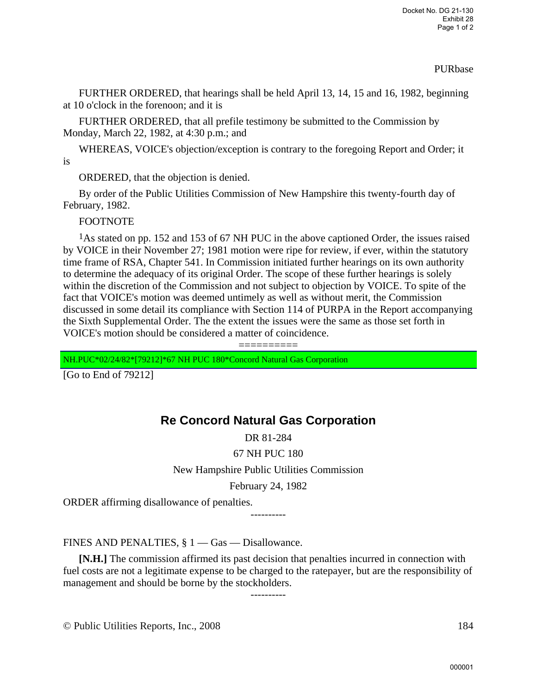## PURbase

FURTHER ORDERED, that hearings shall be held April 13, 14, 15 and 16, 1982, beginning at 10 o'clock in the forenoon; and it is

FURTHER ORDERED, that all prefile testimony be submitted to the Commission by Monday, March 22, 1982, at 4:30 p.m.; and

WHEREAS, VOICE's objection/exception is contrary to the foregoing Report and Order; it is

ORDERED, that the objection is denied.

By order of the Public Utilities Commission of New Hampshire this twenty-fourth day of February, 1982.

FOOTNOTE

1As stated on pp. 152 and 153 of 67 NH PUC in the above captioned Order, the issues raised by VOICE in their November 27; 1981 motion were ripe for review, if ever, within the statutory time frame of RSA, Chapter 541. In Commission initiated further hearings on its own authority to determine the adequacy of its original Order. The scope of these further hearings is solely within the discretion of the Commission and not subject to objection by VOICE. To spite of the fact that VOICE's motion was deemed untimely as well as without merit, the Commission discussed in some detail its compliance with Section 114 of PURPA in the Report accompanying the Sixth Supplemental Order. The the extent the issues were the same as those set forth in VOICE's motion should be considered a matter of coincidence.

==========

NH.PUC\*02/24/82\*[79212]\*67 NH PUC 180\*Concord Natural Gas Corporation

[Go to End of 79212]

# **Re Concord Natural Gas Corporation**

DR 81-284

67 NH PUC 180

New Hampshire Public Utilities Commission

February 24, 1982

ORDER affirming disallowance of penalties.

----------

FINES AND PENALTIES, § 1 — Gas — Disallowance.

**[N.H.]** The commission affirmed its past decision that penalties incurred in connection with fuel costs are not a legitimate expense to be charged to the ratepayer, but are the responsibility of management and should be borne by the stockholders.

----------

© Public Utilities Reports, Inc., 2008 184